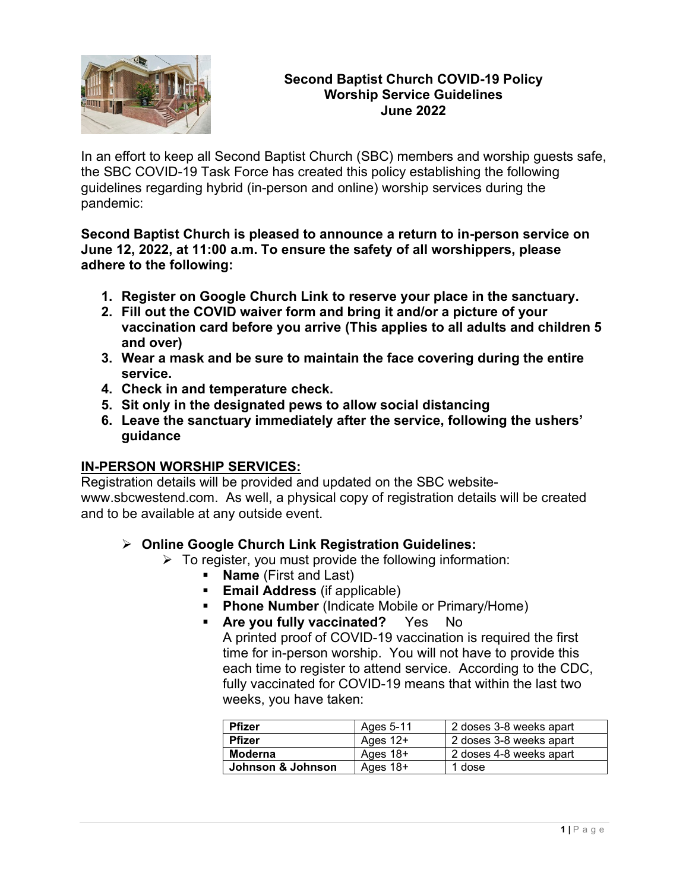

### **Second Baptist Church COVID-19 Policy Worship Service Guidelines June 2022**

In an effort to keep all Second Baptist Church (SBC) members and worship guests safe, the SBC COVID-19 Task Force has created this policy establishing the following guidelines regarding hybrid (in-person and online) worship services during the pandemic:

**Second Baptist Church is pleased to announce a return to in-person service on June 12, 2022, at 11:00 a.m. To ensure the safety of all worshippers, please adhere to the following:**

- **1. Register on Google Church Link to reserve your place in the sanctuary.**
- **2. Fill out the COVID waiver form and bring it and/or a picture of your vaccination card before you arrive (This applies to all adults and children 5 and over)**
- **3. Wear a mask and be sure to maintain the face covering during the entire service.**
- **4. Check in and temperature check.**
- **5. Sit only in the designated pews to allow social distancing**
- **6. Leave the sanctuary immediately after the service, following the ushers' guidance**

## **IN-PERSON WORSHIP SERVICES:**

Registration details will be provided and updated on the SBC websitewww.sbcwestend.com. As well, a physical copy of registration details will be created and to be available at any outside event.

### ➢ **Online Google Church Link Registration Guidelines:**

- $\triangleright$  To register, you must provide the following information:
	- **Name** (First and Last)
	- **Email Address** (if applicable)
	- **Phone Number** (Indicate Mobile or Primary/Home)
	- **EXECT:** Are you fully vaccinated? Yes No A printed proof of COVID-19 vaccination is required the first time for in-person worship. You will not have to provide this each time to register to attend service. According to the CDC, fully vaccinated for COVID-19 means that within the last two weeks, you have taken:

| <b>Pfizer</b>     | Ages 5-11  | 2 doses 3-8 weeks apart |
|-------------------|------------|-------------------------|
| <b>Pfizer</b>     | Ages $12+$ | 2 doses 3-8 weeks apart |
| Moderna           | Ages $18+$ | 2 doses 4-8 weeks apart |
| Johnson & Johnson | Ages $18+$ | 1 dose                  |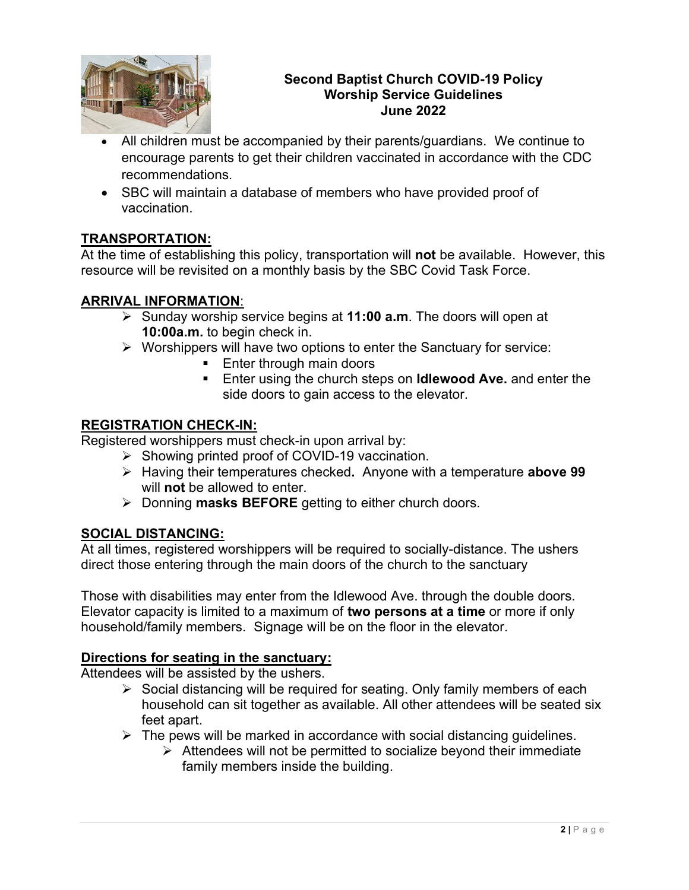

### **Second Baptist Church COVID-19 Policy Worship Service Guidelines June 2022**

- All children must be accompanied by their parents/guardians. We continue to encourage parents to get their children vaccinated in accordance with the CDC recommendations.
- SBC will maintain a database of members who have provided proof of vaccination.

# **TRANSPORTATION:**

At the time of establishing this policy, transportation will **not** be available. However, this resource will be revisited on a monthly basis by the SBC Covid Task Force.

# **ARRIVAL INFORMATION**:

- ➢ Sunday worship service begins at **11:00 a.m**. The doors will open at **10:00a.m.** to begin check in.
- ➢ Worshippers will have two options to enter the Sanctuary for service:
	- Enter through main doors
	- Enter using the church steps on **Idlewood Ave.** and enter the side doors to gain access to the elevator.

## **REGISTRATION CHECK-IN:**

Registered worshippers must check-in upon arrival by:

- ➢ Showing printed proof of COVID-19 vaccination.
	- ➢ Having their temperatures checked**.** Anyone with a temperature **above 99** will **not** be allowed to enter.
	- ➢ Donning **masks BEFORE** getting to either church doors.

## **SOCIAL DISTANCING:**

At all times, registered worshippers will be required to socially-distance. The ushers direct those entering through the main doors of the church to the sanctuary

Those with disabilities may enter from the Idlewood Ave. through the double doors. Elevator capacity is limited to a maximum of **two persons at a time** or more if only household/family members. Signage will be on the floor in the elevator.

## **Directions for seating in the sanctuary:**

Attendees will be assisted by the ushers.

- ➢ Social distancing will be required for seating. Only family members of each household can sit together as available. All other attendees will be seated six feet apart.
- $\triangleright$  The pews will be marked in accordance with social distancing guidelines.
	- $\triangleright$  Attendees will not be permitted to socialize beyond their immediate family members inside the building.